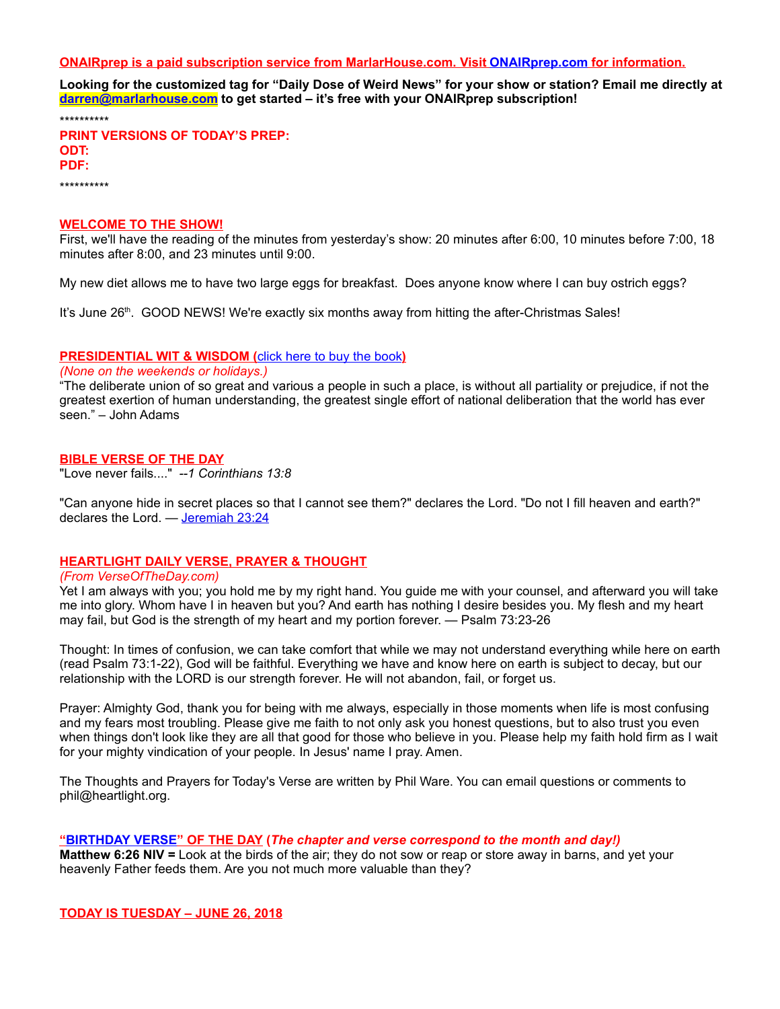### **ONAIRprep is a paid subscription service from MarlarHouse.com. Visit [ONAIRprep.com](http://www.onairprep.com/) for information.**

**Looking for the customized tag for "Daily Dose of Weird News" for your show or station? Email me directly at [darren@marlarhouse.com](mailto:darren@marlarhouse.com) to get started – it's free with your ONAIRprep subscription!** 

\*\*\*\*\*\*\*\*\*\*

**PRINT VERSIONS OF TODAY'S PREP: ODT: PDF:** 

\*\*\*\*\*\*\*\*\*\*

#### **WELCOME TO THE SHOW!**

First, we'll have the reading of the minutes from yesterday's show: 20 minutes after 6:00, 10 minutes before 7:00, 18 minutes after 8:00, and 23 minutes until 9:00.

My new diet allows me to have two large eggs for breakfast. Does anyone know where I can buy ostrich eggs?

It's June 26<sup>th</sup>. GOOD NEWS! We're exactly six months away from hitting the after-Christmas Sales!

### **PRESIDENTIAL WIT & WISDOM (**[click here to buy the book](https://www.amazon.com/gp/product/1604336099/ref=as_li_qf_sp_asin_il_tl?ie=UTF8&tag=marlarhouse0d-20&camp=1789&creative=9325&linkCode=as2&creativeASIN=1604336099&linkId=b55fa1028c911a8c245401a12fcf3b31)**)**

# *(None on the weekends or holidays.)*

"The deliberate union of so great and various a people in such a place, is without all partiality or prejudice, if not the greatest exertion of human understanding, the greatest single effort of national deliberation that the world has ever seen." – John Adams

#### **BIBLE VERSE OF THE DAY**

"Love never fails...." *--1 Corinthians 13:8*

"Can anyone hide in secret places so that I cannot see them?" declares the Lord. "Do not I fill heaven and earth?" declares the Lord. — [Jeremiah 23:24](http://www.biblestudytools.com/search/?query=Jeremiah+23:24&t=niv)

# **HEARTLIGHT DAILY VERSE, PRAYER & THOUGHT**

#### *(From VerseOfTheDay.com)*

Yet I am always with you; you hold me by my right hand. You guide me with your counsel, and afterward you will take me into glory. Whom have I in heaven but you? And earth has nothing I desire besides you. My flesh and my heart may fail, but God is the strength of my heart and my portion forever. — Psalm 73:23-26

Thought: In times of confusion, we can take comfort that while we may not understand everything while here on earth (read Psalm 73:1-22), God will be faithful. Everything we have and know here on earth is subject to decay, but our relationship with the LORD is our strength forever. He will not abandon, fail, or forget us.

Prayer: Almighty God, thank you for being with me always, especially in those moments when life is most confusing and my fears most troubling. Please give me faith to not only ask you honest questions, but to also trust you even when things don't look like they are all that good for those who believe in you. Please help my faith hold firm as I wait for your mighty vindication of your people. In Jesus' name I pray. Amen.

The Thoughts and Prayers for Today's Verse are written by Phil Ware. You can email questions or comments to phil@heartlight.org.

#### **["BIRTHDAY VERSE"](http://67.59.170.133/) OF THE DAY (***The chapter and verse correspond to the month and day!)*

**Matthew 6:26 NIV =** Look at the birds of the air; they do not sow or reap or store away in barns, and yet your heavenly Father feeds them. Are you not much more valuable than they?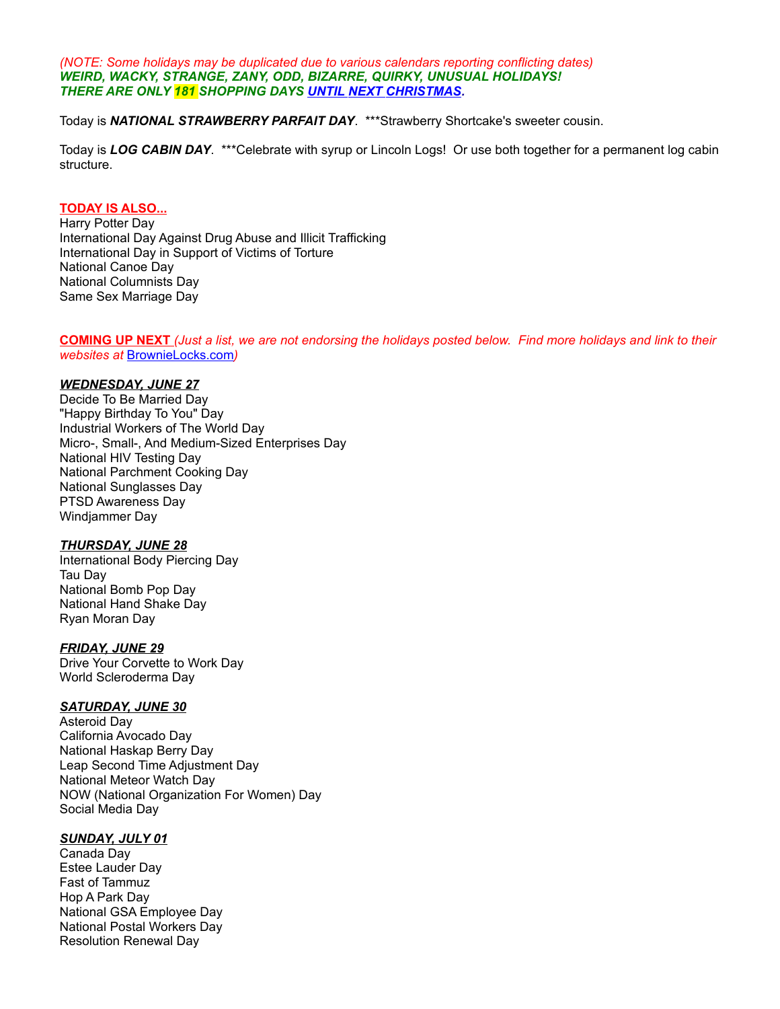*(NOTE: Some holidays may be duplicated due to various calendars reporting conflicting dates) WEIRD, WACKY, STRANGE, ZANY, ODD, BIZARRE, QUIRKY, UNUSUAL HOLIDAYS! THERE ARE ONLY 181 SHOPPING DAYS [UNTIL NEXT CHRISTMAS.](http://days.to/until/christmas)*

Today is *NATIONAL STRAWBERRY PARFAIT DAY*. \*\*\*Strawberry Shortcake's sweeter cousin.

Today is *LOG CABIN DAY*. \*\*\*Celebrate with syrup or Lincoln Logs! Or use both together for a permanent log cabin structure.

#### **TODAY IS ALSO...**

Harry Potter Day International Day Against Drug Abuse and Illicit Trafficking International Day in Support of Victims of Torture National Canoe Day National Columnists Day Same Sex Marriage Day

**COMING UP NEXT** *(Just a list, we are not endorsing the holidays posted below. Find more holidays and link to their websites at* [BrownieLocks.com](https://www.brownielocks.com/month2.html)*)*

# *WEDNESDAY, JUNE 27*

Decide To Be Married Day "Happy Birthday To You" Day Industrial Workers of The World Day Micro-, Small-, And Medium-Sized Enterprises Day National HIV Testing Day National Parchment Cooking Day National Sunglasses Day PTSD Awareness Day Windjammer Day

# *THURSDAY, JUNE 28*

International Body Piercing Day Tau Day National Bomb Pop Day National Hand Shake Day Ryan Moran Day

# *FRIDAY, JUNE 29*

Drive Your Corvette to Work Day World Scleroderma Day

# *SATURDAY, JUNE 30*

Asteroid Day California Avocado Day National Haskap Berry Day Leap Second Time Adjustment Day National Meteor Watch Day NOW (National Organization For Women) Day Social Media Day

# *SUNDAY, JULY 01*

Canada Day Estee Lauder Day Fast of Tammuz Hop A Park Day National GSA Employee Day National Postal Workers Day Resolution Renewal Day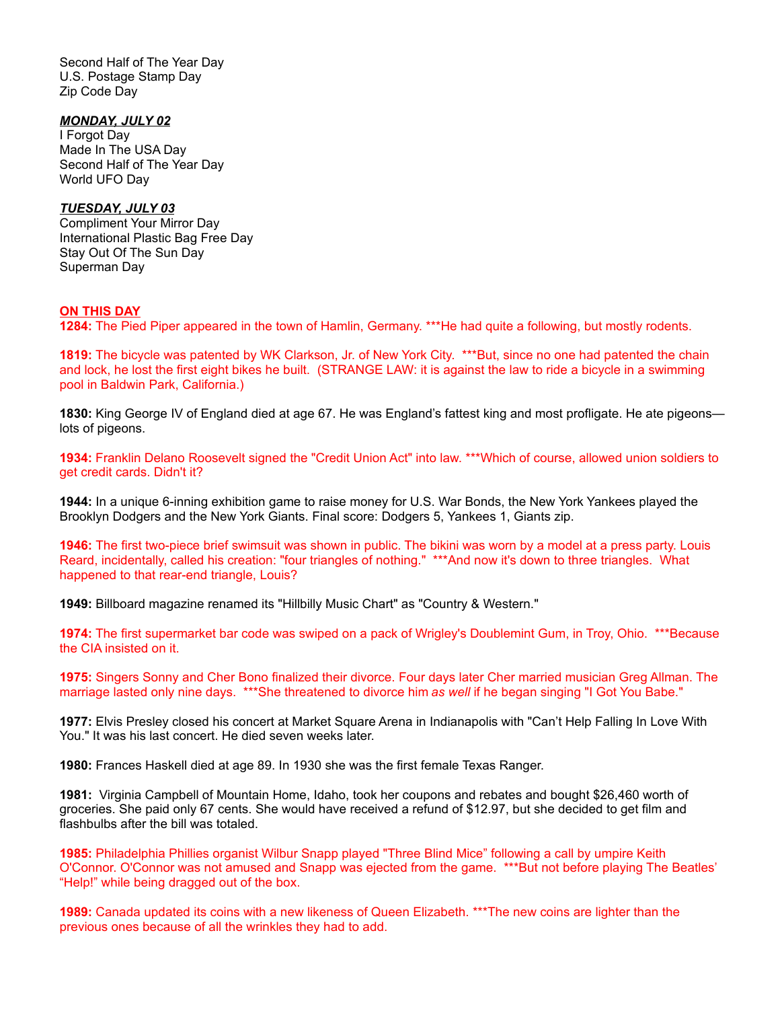Second Half of The Year Day U.S. Postage Stamp Day Zip Code Day

### *MONDAY, JULY 02*

I Forgot Day Made In The USA Day Second Half of The Year Day World UFO Day

### *TUESDAY, JULY 03*

Compliment Your Mirror Day International Plastic Bag Free Day Stay Out Of The Sun Day Superman Day

# **ON THIS DAY**

**1284:** The Pied Piper appeared in the town of Hamlin, Germany. \*\*\*He had quite a following, but mostly rodents.

**1819:** The bicycle was patented by WK Clarkson, Jr. of New York City. \*\*\*But, since no one had patented the chain and lock, he lost the first eight bikes he built. (STRANGE LAW: it is against the law to ride a bicycle in a swimming pool in Baldwin Park, California.)

**1830:** King George IV of England died at age 67. He was England's fattest king and most profligate. He ate pigeons lots of pigeons.

**1934:** Franklin Delano Roosevelt signed the "Credit Union Act" into law. \*\*\*Which of course, allowed union soldiers to get credit cards. Didn't it?

**1944:** In a unique 6-inning exhibition game to raise money for U.S. War Bonds, the New York Yankees played the Brooklyn Dodgers and the New York Giants. Final score: Dodgers 5, Yankees 1, Giants zip.

**1946:** The first two-piece brief swimsuit was shown in public. The bikini was worn by a model at a press party. Louis Reard, incidentally, called his creation: "four triangles of nothing." \*\*\*And now it's down to three triangles. What happened to that rear-end triangle, Louis?

**1949:** Billboard magazine renamed its "Hillbilly Music Chart" as "Country & Western."

**1974:** The first supermarket bar code was swiped on a pack of Wrigley's Doublemint Gum, in Troy, Ohio. \*\*\*Because the CIA insisted on it.

**1975:** Singers Sonny and Cher Bono finalized their divorce. Four days later Cher married musician Greg Allman. The marriage lasted only nine days. \*\*\*She threatened to divorce him *as well* if he began singing "I Got You Babe."

**1977:** Elvis Presley closed his concert at Market Square Arena in Indianapolis with "Can't Help Falling In Love With You." It was his last concert. He died seven weeks later.

**1980:** Frances Haskell died at age 89. In 1930 she was the first female Texas Ranger.

**1981:** Virginia Campbell of Mountain Home, Idaho, took her coupons and rebates and bought \$26,460 worth of groceries. She paid only 67 cents. She would have received a refund of \$12.97, but she decided to get film and flashbulbs after the bill was totaled.

**1985:** Philadelphia Phillies organist Wilbur Snapp played "Three Blind Mice" following a call by umpire Keith O'Connor. O'Connor was not amused and Snapp was ejected from the game. \*\*\*But not before playing The Beatles' "Help!" while being dragged out of the box.

**1989:** Canada updated its coins with a new likeness of Queen Elizabeth. \*\*\*The new coins are lighter than the previous ones because of all the wrinkles they had to add.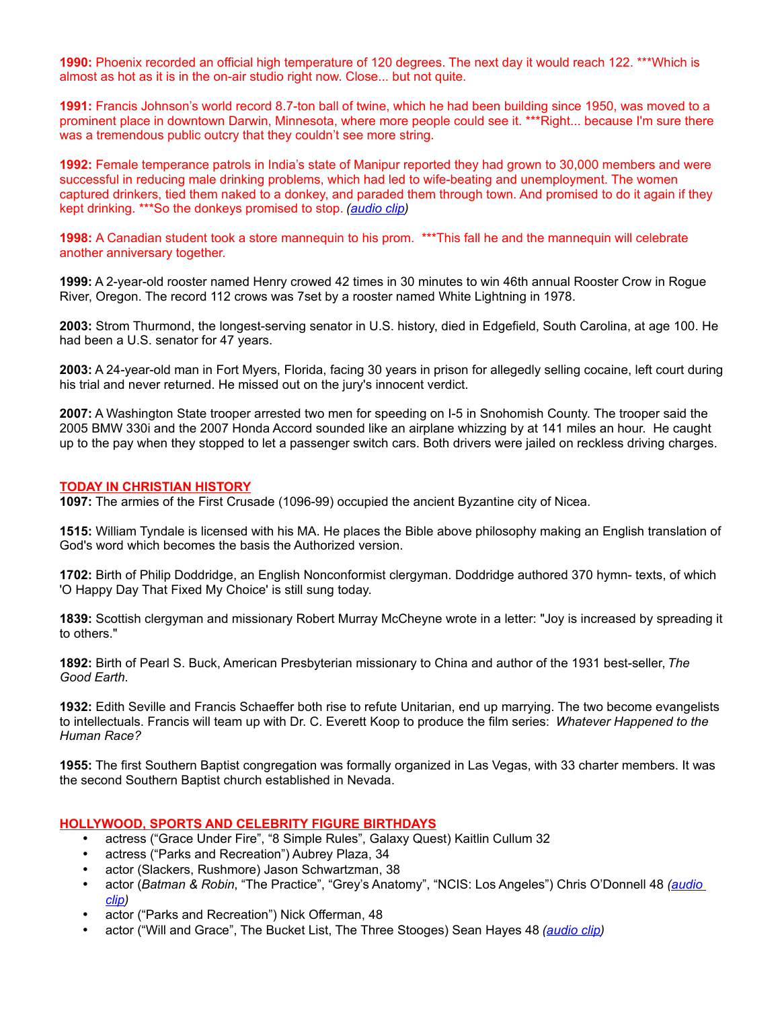**1990:** Phoenix recorded an official high temperature of 120 degrees. The next day it would reach 122. \*\*\*Which is almost as hot as it is in the on-air studio right now. Close... but not quite.

**1991:** Francis Johnson's world record 8.7-ton ball of twine, which he had been building since 1950, was moved to a prominent place in downtown Darwin, Minnesota, where more people could see it. \*\*\*Right... because I'm sure there was a tremendous public outcry that they couldn't see more string.

**1992:** Female temperance patrols in India's state of Manipur reported they had grown to 30,000 members and were successful in reducing male drinking problems, which had led to wife-beating and unemployment. The women captured drinkers, tied them naked to a donkey, and paraded them through town. And promised to do it again if they kept drinking. \*\*\*So the donkeys promised to stop. *[\(audio clip\)](http://www.darrenmarlar.com/audio/IDontDrinkBeer-TimHawkins.mp3)*

**1998:** A Canadian student took a store mannequin to his prom. \*\*\*This fall he and the mannequin will celebrate another anniversary together.

**1999:** A 2-year-old rooster named Henry crowed 42 times in 30 minutes to win 46th annual Rooster Crow in Rogue River, Oregon. The record 112 crows was 7set by a rooster named White Lightning in 1978.

**2003:** Strom Thurmond, the longest-serving senator in U.S. history, died in Edgefield, South Carolina, at age 100. He had been a U.S. senator for 47 years.

**2003:** A 24-year-old man in Fort Myers, Florida, facing 30 years in prison for allegedly selling cocaine, left court during his trial and never returned. He missed out on the jury's innocent verdict.

**2007:** A Washington State trooper arrested two men for speeding on I-5 in Snohomish County. The trooper said the 2005 BMW 330i and the 2007 Honda Accord sounded like an airplane whizzing by at 141 miles an hour. He caught up to the pay when they stopped to let a passenger switch cars. Both drivers were jailed on reckless driving charges.

### **TODAY IN CHRISTIAN HISTORY**

**1097:** The armies of the First Crusade (1096-99) occupied the ancient Byzantine city of Nicea.

**1515:** William Tyndale is licensed with his MA. He places the Bible above philosophy making an English translation of God's word which becomes the basis the Authorized version.

**1702:** Birth of Philip Doddridge, an English Nonconformist clergyman. Doddridge authored 370 hymn- texts, of which 'O Happy Day That Fixed My Choice' is still sung today.

**1839:** Scottish clergyman and missionary Robert Murray McCheyne wrote in a letter: "Joy is increased by spreading it to others."

**1892:** Birth of Pearl S. Buck, American Presbyterian missionary to China and author of the 1931 best-seller, *The Good Earth*.

**1932:** Edith Seville and Francis Schaeffer both rise to refute Unitarian, end up marrying. The two become evangelists to intellectuals. Francis will team up with Dr. C. Everett Koop to produce the film series: *Whatever Happened to the Human Race?*

**1955:** The first Southern Baptist congregation was formally organized in Las Vegas, with 33 charter members. It was the second Southern Baptist church established in Nevada.

# **HOLLYWOOD, SPORTS AND CELEBRITY FIGURE BIRTHDAYS**

- actress ("Grace Under Fire", "8 Simple Rules", Galaxy Quest) Kaitlin Cullum 32
- actress ("Parks and Recreation") Aubrey Plaza, 34
- actor (Slackers, Rushmore) Jason Schwartzman, 38
- actor (*Batman & Robin*, "The Practice", "Grey's Anatomy", "NCIS: Los Angeles") Chris O'Donnell 48 *[\(audio](http://www.darrenmarlar.com/audio/TV-ThePractice.mp3)  [clip\)](http://www.darrenmarlar.com/audio/TV-ThePractice.mp3)*
- actor ("Parks and Recreation") Nick Offerman, 48
- actor ("Will and Grace", The Bucket List, The Three Stooges) Sean Hayes 48 *[\(audio clip\)](http://www.darrenmarlar.com/audio/TV-WillAndGrace.mp3)*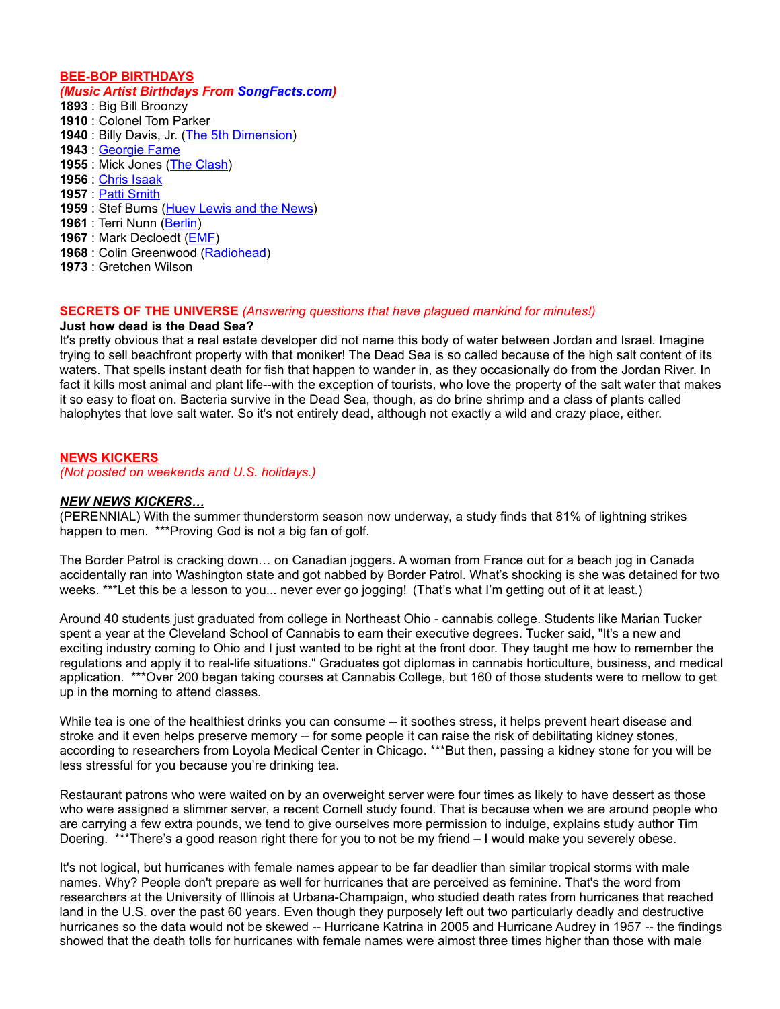# **BEE-BOP BIRTHDAYS**

# *(Music Artist Birthdays From [SongFacts.com\)](http://calendar.songfacts.com/)*

 : Big Bill Broonzy : Colonel Tom Parker : Billy Davis, Jr. [\(The 5th Dimension\)](http://www.songfacts.com/search_fact.php?combinedartists=The+5th+Dimension) : [Georgie Fame](http://www.songfacts.com/search_fact.php?combinedartists=Georgie+Fame) : Mick Jones [\(The Clash\)](http://www.artistfacts.com/detail.php?id=184) : [Chris Isaak](http://www.artistfacts.com/detail.php?id=406) : [Patti Smith](http://www.songfacts.com/search_fact.php?combinedartists=Patti+Smith) : Stef Burns [\(Huey Lewis and the News\)](http://www.songfacts.com/artist:huey_lewis_and_the_news.php) : Terri Nunn [\(Berlin\)](http://www.songfacts.com/artist:berlin.php) : Mark Decloedt [\(EMF\)](http://www.artistfacts.com/detail.php?id=47) : Colin Greenwood [\(Radiohead\)](http://www.artistfacts.com/detail.php?id=180) : Gretchen Wilson

# **SECRETS OF THE UNIVERSE** *(Answering questions that have plagued mankind for minutes!)*

### **Just how dead is the Dead Sea?**

It's pretty obvious that a real estate developer did not name this body of water between Jordan and Israel. Imagine trying to sell beachfront property with that moniker! The Dead Sea is so called because of the high salt content of its waters. That spells instant death for fish that happen to wander in, as they occasionally do from the Jordan River. In fact it kills most animal and plant life--with the exception of tourists, who love the property of the salt water that makes it so easy to float on. Bacteria survive in the Dead Sea, though, as do brine shrimp and a class of plants called halophytes that love salt water. So it's not entirely dead, although not exactly a wild and crazy place, either.

# **NEWS KICKERS**

*(Not posted on weekends and U.S. holidays.)*

#### *NEW NEWS KICKERS…*

(PERENNIAL) With the summer thunderstorm season now underway, a study finds that 81% of lightning strikes happen to men. \*\*\*Proving God is not a big fan of golf.

The Border Patrol is cracking down… on Canadian joggers. A woman from France out for a beach jog in Canada accidentally ran into Washington state and got nabbed by Border Patrol. What's shocking is she was detained for two weeks. \*\*\*Let this be a lesson to you... never ever go jogging! (That's what I'm getting out of it at least.)

Around 40 students just graduated from college in Northeast Ohio - cannabis college. Students like Marian Tucker spent a year at the Cleveland School of Cannabis to earn their executive degrees. Tucker said, "It's a new and exciting industry coming to Ohio and I just wanted to be right at the front door. They taught me how to remember the regulations and apply it to real-life situations." Graduates got diplomas in cannabis horticulture, business, and medical application. \*\*\*Over 200 began taking courses at Cannabis College, but 160 of those students were to mellow to get up in the morning to attend classes.

While tea is one of the healthiest drinks you can consume -- it soothes stress, it helps prevent heart disease and stroke and it even helps preserve memory -- for some people it can raise the risk of debilitating kidney stones, according to researchers from Loyola Medical Center in Chicago. \*\*\*But then, passing a kidney stone for you will be less stressful for you because you're drinking tea.

Restaurant patrons who were waited on by an overweight server were four times as likely to have dessert as those who were assigned a slimmer server, a recent Cornell study found. That is because when we are around people who are carrying a few extra pounds, we tend to give ourselves more permission to indulge, explains study author Tim Doering. \*\*\*There's a good reason right there for you to not be my friend – I would make you severely obese.

It's not logical, but hurricanes with female names appear to be far deadlier than similar tropical storms with male names. Why? People don't prepare as well for hurricanes that are perceived as feminine. That's the word from researchers at the University of Illinois at Urbana-Champaign, who studied death rates from hurricanes that reached land in the U.S. over the past 60 years. Even though they purposely left out two particularly deadly and destructive hurricanes so the data would not be skewed -- Hurricane Katrina in 2005 and Hurricane Audrey in 1957 -- the findings showed that the death tolls for hurricanes with female names were almost three times higher than those with male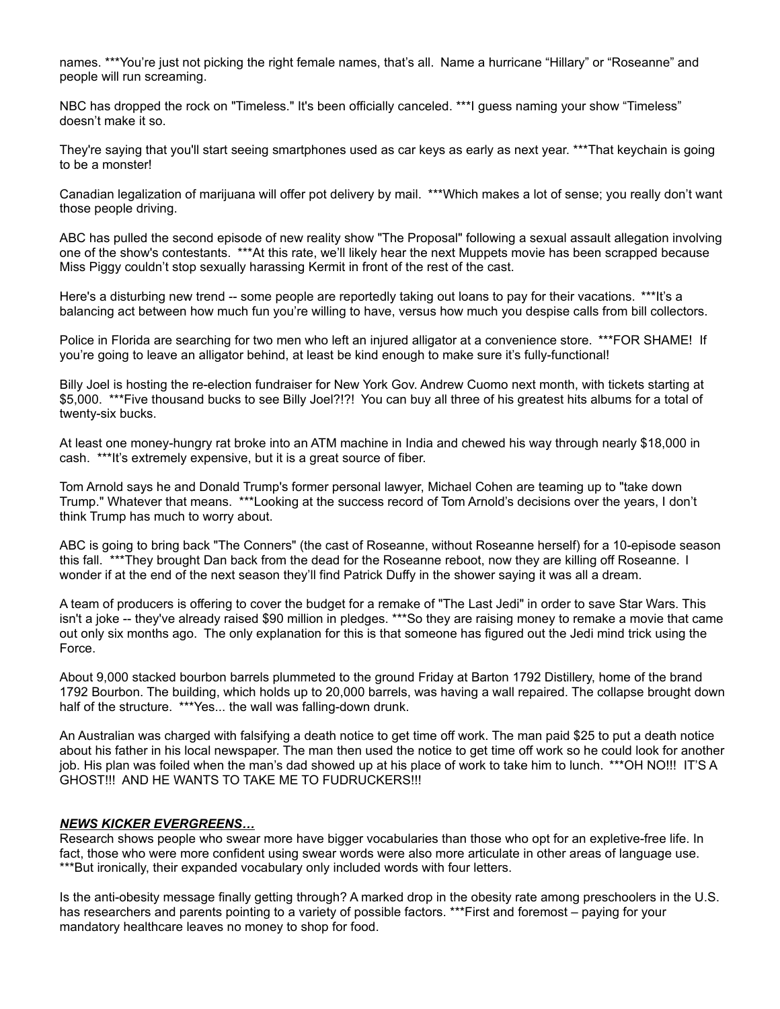names. \*\*\*You're just not picking the right female names, that's all. Name a hurricane "Hillary" or "Roseanne" and people will run screaming.

NBC has dropped the rock on "Timeless." It's been officially canceled. \*\*\*I guess naming your show "Timeless" doesn't make it so.

They're saying that you'll start seeing smartphones used as car keys as early as next year. \*\*\*That keychain is going to be a monster!

Canadian legalization of marijuana will offer pot delivery by mail. \*\*\*Which makes a lot of sense; you really don't want those people driving.

ABC has pulled the second episode of new reality show "The Proposal" following a sexual assault allegation involving one of the show's contestants. \*\*\*At this rate, we'll likely hear the next Muppets movie has been scrapped because Miss Piggy couldn't stop sexually harassing Kermit in front of the rest of the cast.

Here's a disturbing new trend -- some people are reportedly taking out loans to pay for their vacations. \*\*\*It's a balancing act between how much fun you're willing to have, versus how much you despise calls from bill collectors.

Police in Florida are searching for two men who left an injured alligator at a convenience store. \*\*\*FOR SHAME! If you're going to leave an alligator behind, at least be kind enough to make sure it's fully-functional!

Billy Joel is hosting the re-election fundraiser for New York Gov. Andrew Cuomo next month, with tickets starting at \$5,000. \*\*\*Five thousand bucks to see Billy Joel?!?! You can buy all three of his greatest hits albums for a total of twenty-six bucks.

At least one money-hungry rat broke into an ATM machine in India and chewed his way through nearly \$18,000 in cash. \*\*\*It's extremely expensive, but it is a great source of fiber.

Tom Arnold says he and Donald Trump's former personal lawyer, Michael Cohen are teaming up to "take down Trump." Whatever that means. \*\*\*Looking at the success record of Tom Arnold's decisions over the years, I don't think Trump has much to worry about.

ABC is going to bring back "The Conners" (the cast of Roseanne, without Roseanne herself) for a 10-episode season this fall. \*\*\*They brought Dan back from the dead for the Roseanne reboot, now they are killing off Roseanne. I wonder if at the end of the next season they'll find Patrick Duffy in the shower saying it was all a dream.

A team of producers is offering to cover the budget for a remake of "The Last Jedi" in order to save Star Wars. This isn't a joke -- they've already raised \$90 million in pledges. \*\*\*So they are raising money to remake a movie that came out only six months ago. The only explanation for this is that someone has figured out the Jedi mind trick using the Force.

About 9,000 stacked bourbon barrels plummeted to the ground Friday at Barton 1792 Distillery, home of the brand 1792 Bourbon. The building, which holds up to 20,000 barrels, was having a wall repaired. The collapse brought down half of the structure. \*\*\*Yes... the wall was falling-down drunk.

An Australian was charged with falsifying a death notice to get time off work. The man paid \$25 to put a death notice about his father in his local newspaper. The man then used the notice to get time off work so he could look for another job. His plan was foiled when the man's dad showed up at his place of work to take him to lunch. \*\*\*OH NO!!! IT'S A GHOST!!! AND HE WANTS TO TAKE ME TO FUDRUCKERS!!!

# *NEWS KICKER EVERGREENS…*

Research shows people who swear more have bigger vocabularies than those who opt for an expletive-free life. In fact, those who were more confident using swear words were also more articulate in other areas of language use. \*\*\*But ironically, their expanded vocabulary only included words with four letters.

Is the anti-obesity message finally getting through? A marked drop in the obesity rate among preschoolers in the U.S. has researchers and parents pointing to a variety of possible factors. \*\*\*First and foremost – paying for your mandatory healthcare leaves no money to shop for food.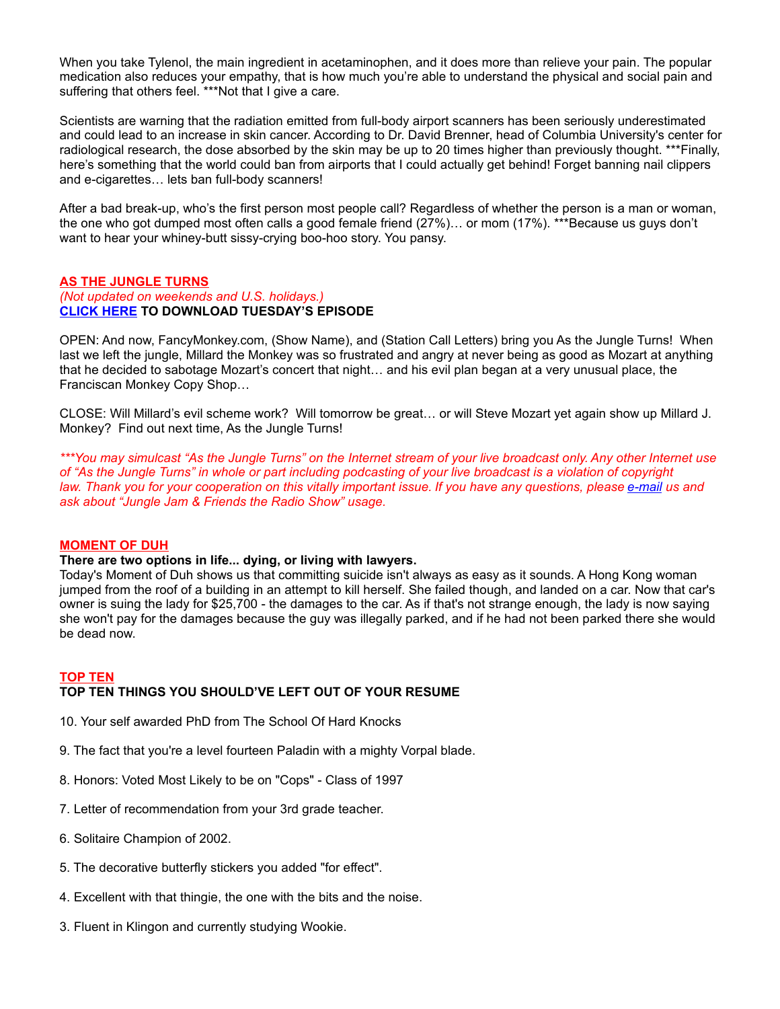When you take Tylenol, the main ingredient in acetaminophen, and it does more than relieve your pain. The popular medication also reduces your empathy, that is how much you're able to understand the physical and social pain and suffering that others feel. \*\*\*Not that I give a care.

Scientists are warning that the radiation emitted from full-body airport scanners has been seriously underestimated and could lead to an increase in skin cancer. According to Dr. David Brenner, head of Columbia University's center for radiological research, the dose absorbed by the skin may be up to 20 times higher than previously thought. \*\*\*Finally, here's something that the world could ban from airports that I could actually get behind! Forget banning nail clippers and e-cigarettes… lets ban full-body scanners!

After a bad break-up, who's the first person most people call? Regardless of whether the person is a man or woman, the one who got dumped most often calls a good female friend (27%)… or mom (17%). \*\*\*Because us guys don't want to hear your whiney-butt sissy-crying boo-hoo story. You pansy.

#### **AS THE JUNGLE TURNS** *(Not updated on weekends and U.S. holidays.)* **[CLICK HERE](http://www.darrenmarlar.com/audio/AsTheJungleTurns/MMJJ0155.mp3) TO DOWNLOAD TUESDAY'S EPISODE**

OPEN: And now, FancyMonkey.com, (Show Name), and (Station Call Letters) bring you As the Jungle Turns! When last we left the jungle, Millard the Monkey was so frustrated and angry at never being as good as Mozart at anything that he decided to sabotage Mozart's concert that night… and his evil plan began at a very unusual place, the Franciscan Monkey Copy Shop…

CLOSE: Will Millard's evil scheme work? Will tomorrow be great… or will Steve Mozart yet again show up Millard J. Monkey? Find out next time, As the Jungle Turns!

*\*\*\*You may simulcast "As the Jungle Turns" on the Internet stream of your live broadcast only. Any other Internet use of "As the Jungle Turns" in whole or part including podcasting of your live broadcast is a violation of copyright law. Thank you for your cooperation on this vitally important issue. If you have any questions, please [e-mail](mailto:radio@fancymonkey.com?subject=Internet%20Use) us and ask about "Jungle Jam & Friends the Radio Show" usage.*

# **MOMENT OF DUH**

#### **There are two options in life... dying, or living with lawyers.**

Today's Moment of Duh shows us that committing suicide isn't always as easy as it sounds. A Hong Kong woman jumped from the roof of a building in an attempt to kill herself. She failed though, and landed on a car. Now that car's owner is suing the lady for \$25,700 - the damages to the car. As if that's not strange enough, the lady is now saying she won't pay for the damages because the guy was illegally parked, and if he had not been parked there she would be dead now.

#### **TOP TEN**

# **TOP TEN THINGS YOU SHOULD'VE LEFT OUT OF YOUR RESUME**

- 10. Your self awarded PhD from The School Of Hard Knocks
- 9. The fact that you're a level fourteen Paladin with a mighty Vorpal blade.
- 8. Honors: Voted Most Likely to be on "Cops" Class of 1997
- 7. Letter of recommendation from your 3rd grade teacher.
- 6. Solitaire Champion of 2002.
- 5. The decorative butterfly stickers you added "for effect".
- 4. Excellent with that thingie, the one with the bits and the noise.
- 3. Fluent in Klingon and currently studying Wookie.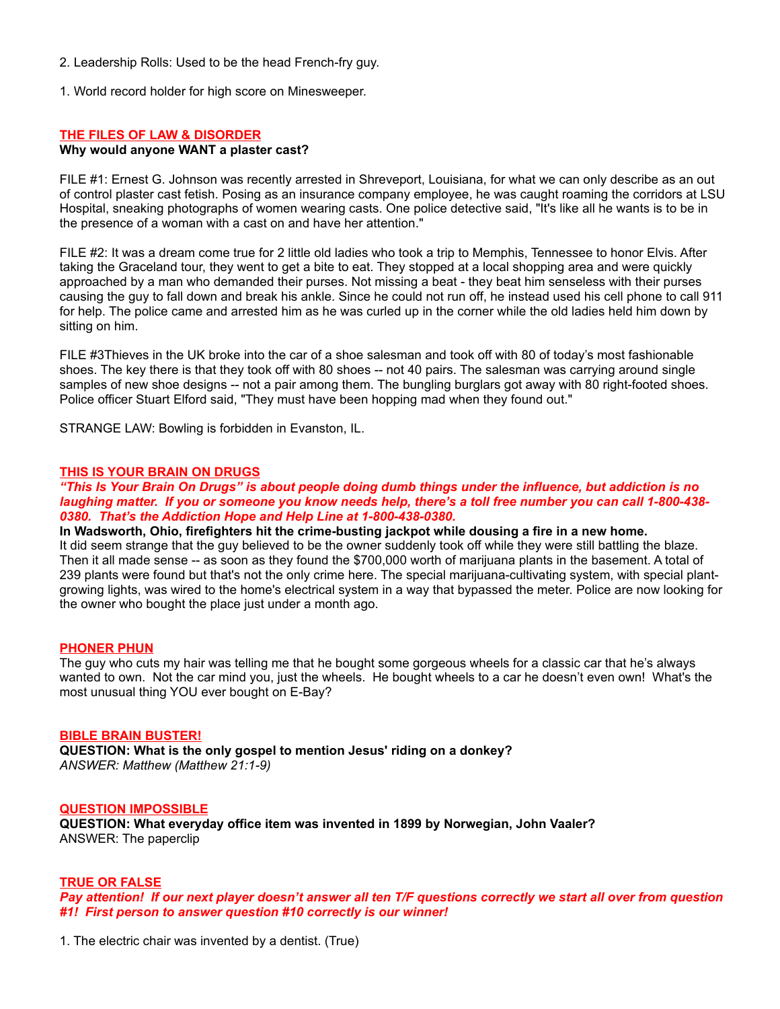- 2. Leadership Rolls: Used to be the head French-fry guy.
- 1. World record holder for high score on Minesweeper.

### **THE FILES OF LAW & DISORDER**

#### **Why would anyone WANT a plaster cast?**

FILE #1: Ernest G. Johnson was recently arrested in Shreveport, Louisiana, for what we can only describe as an out of control plaster cast fetish. Posing as an insurance company employee, he was caught roaming the corridors at LSU Hospital, sneaking photographs of women wearing casts. One police detective said, "It's like all he wants is to be in the presence of a woman with a cast on and have her attention."

FILE #2: It was a dream come true for 2 little old ladies who took a trip to Memphis, Tennessee to honor Elvis. After taking the Graceland tour, they went to get a bite to eat. They stopped at a local shopping area and were quickly approached by a man who demanded their purses. Not missing a beat - they beat him senseless with their purses causing the guy to fall down and break his ankle. Since he could not run off, he instead used his cell phone to call 911 for help. The police came and arrested him as he was curled up in the corner while the old ladies held him down by sitting on him.

FILE #3Thieves in the UK broke into the car of a shoe salesman and took off with 80 of today's most fashionable shoes. The key there is that they took off with 80 shoes -- not 40 pairs. The salesman was carrying around single samples of new shoe designs -- not a pair among them. The bungling burglars got away with 80 right-footed shoes. Police officer Stuart Elford said, "They must have been hopping mad when they found out."

STRANGE LAW: Bowling is forbidden in Evanston, IL.

#### **THIS IS YOUR BRAIN ON DRUGS**

### *"This Is Your Brain On Drugs" is about people doing dumb things under the influence, but addiction is no laughing matter. If you or someone you know needs help, there's a toll free number you can call 1-800-438- 0380. That's the Addiction Hope and Help Line at 1-800-438-0380.*

### **In Wadsworth, Ohio, firefighters hit the crime-busting jackpot while dousing a fire in a new home.**

It did seem strange that the guy believed to be the owner suddenly took off while they were still battling the blaze. Then it all made sense -- as soon as they found the \$700,000 worth of marijuana plants in the basement. A total of 239 plants were found but that's not the only crime here. The special marijuana-cultivating system, with special plantgrowing lights, was wired to the home's electrical system in a way that bypassed the meter. Police are now looking for the owner who bought the place just under a month ago.

#### **PHONER PHUN**

The guy who cuts my hair was telling me that he bought some gorgeous wheels for a classic car that he's always wanted to own. Not the car mind you, just the wheels. He bought wheels to a car he doesn't even own! What's the most unusual thing YOU ever bought on E-Bay?

#### **BIBLE BRAIN BUSTER!**

**QUESTION: What is the only gospel to mention Jesus' riding on a donkey?** *ANSWER: Matthew (Matthew 21:1-9)*

#### **QUESTION IMPOSSIBLE**

**QUESTION: What everyday office item was invented in 1899 by Norwegian, John Vaaler?** ANSWER: The paperclip

#### **TRUE OR FALSE**

*Pay attention! If our next player doesn't answer all ten T/F questions correctly we start all over from question #1! First person to answer question #10 correctly is our winner!*

1. The electric chair was invented by a dentist. (True)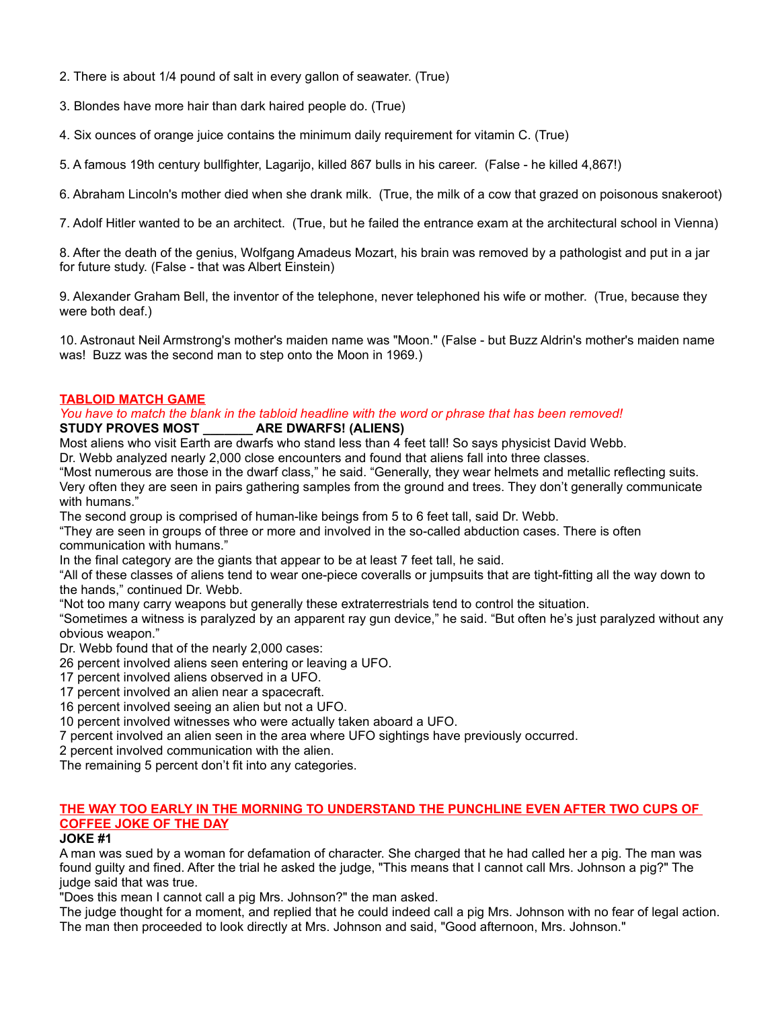- 2. There is about 1/4 pound of salt in every gallon of seawater. (True)
- 3. Blondes have more hair than dark haired people do. (True)
- 4. Six ounces of orange juice contains the minimum daily requirement for vitamin C. (True)
- 5. A famous 19th century bullfighter, Lagarijo, killed 867 bulls in his career. (False he killed 4,867!)
- 6. Abraham Lincoln's mother died when she drank milk. (True, the milk of a cow that grazed on poisonous snakeroot)
- 7. Adolf Hitler wanted to be an architect. (True, but he failed the entrance exam at the architectural school in Vienna)

8. After the death of the genius, Wolfgang Amadeus Mozart, his brain was removed by a pathologist and put in a jar for future study. (False - that was Albert Einstein)

9. Alexander Graham Bell, the inventor of the telephone, never telephoned his wife or mother. (True, because they were both deaf.)

10. Astronaut Neil Armstrong's mother's maiden name was "Moon." (False - but Buzz Aldrin's mother's maiden name was! Buzz was the second man to step onto the Moon in 1969.)

# **TABLOID MATCH GAME**

### *You have to match the blank in the tabloid headline with the word or phrase that has been removed!* **STUDY PROVES MOST \_\_\_\_\_\_\_ ARE DWARFS! (ALIENS)**

Most aliens who visit Earth are dwarfs who stand less than 4 feet tall! So says physicist David Webb.

Dr. Webb analyzed nearly 2,000 close encounters and found that aliens fall into three classes.

"Most numerous are those in the dwarf class," he said. "Generally, they wear helmets and metallic reflecting suits. Very often they are seen in pairs gathering samples from the ground and trees. They don't generally communicate with humans."

The second group is comprised of human-like beings from 5 to 6 feet tall, said Dr. Webb.

"They are seen in groups of three or more and involved in the so-called abduction cases. There is often communication with humans."

In the final category are the giants that appear to be at least 7 feet tall, he said.

"All of these classes of aliens tend to wear one-piece coveralls or jumpsuits that are tight-fitting all the way down to the hands," continued Dr. Webb.

"Not too many carry weapons but generally these extraterrestrials tend to control the situation.

"Sometimes a witness is paralyzed by an apparent ray gun device," he said. "But often he's just paralyzed without any obvious weapon."

Dr. Webb found that of the nearly 2,000 cases:

26 percent involved aliens seen entering or leaving a UFO.

- 17 percent involved aliens observed in a UFO.
- 17 percent involved an alien near a spacecraft.

16 percent involved seeing an alien but not a UFO.

10 percent involved witnesses who were actually taken aboard a UFO.

7 percent involved an alien seen in the area where UFO sightings have previously occurred.

2 percent involved communication with the alien.

The remaining 5 percent don't fit into any categories.

# **THE WAY TOO EARLY IN THE MORNING TO UNDERSTAND THE PUNCHLINE EVEN AFTER TWO CUPS OF COFFEE JOKE OF THE DAY**

# **JOKE #1**

A man was sued by a woman for defamation of character. She charged that he had called her a pig. The man was found guilty and fined. After the trial he asked the judge, "This means that I cannot call Mrs. Johnson a pig?" The judge said that was true.

"Does this mean I cannot call a pig Mrs. Johnson?" the man asked.

The judge thought for a moment, and replied that he could indeed call a pig Mrs. Johnson with no fear of legal action. The man then proceeded to look directly at Mrs. Johnson and said, "Good afternoon, Mrs. Johnson."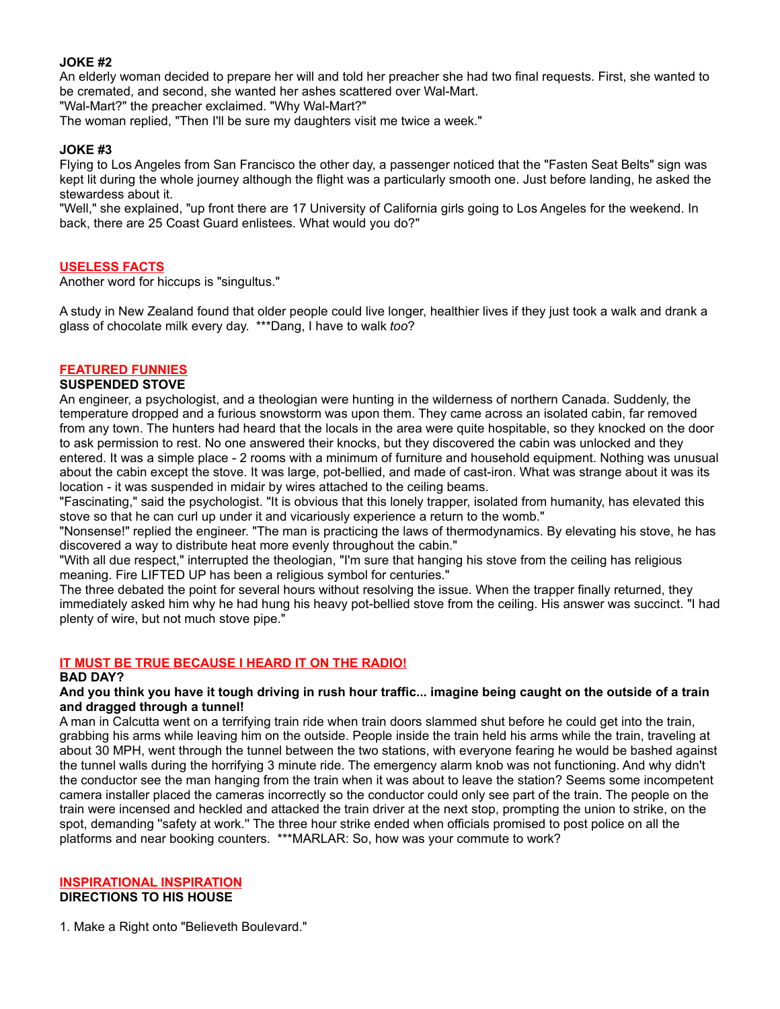# **JOKE #2**

An elderly woman decided to prepare her will and told her preacher she had two final requests. First, she wanted to be cremated, and second, she wanted her ashes scattered over Wal-Mart.

"Wal-Mart?" the preacher exclaimed. "Why Wal-Mart?"

The woman replied, "Then I'll be sure my daughters visit me twice a week."

# **JOKE #3**

Flying to Los Angeles from San Francisco the other day, a passenger noticed that the "Fasten Seat Belts" sign was kept lit during the whole journey although the flight was a particularly smooth one. Just before landing, he asked the stewardess about it.

"Well," she explained, "up front there are 17 University of California girls going to Los Angeles for the weekend. In back, there are 25 Coast Guard enlistees. What would you do?"

# **USELESS FACTS**

Another word for hiccups is "singultus."

A study in New Zealand found that older people could live longer, healthier lives if they just took a walk and drank a glass of chocolate milk every day. \*\*\*Dang, I have to walk *too*?

# **FEATURED FUNNIES**

# **SUSPENDED STOVE**

An engineer, a psychologist, and a theologian were hunting in the wilderness of northern Canada. Suddenly, the temperature dropped and a furious snowstorm was upon them. They came across an isolated cabin, far removed from any town. The hunters had heard that the locals in the area were quite hospitable, so they knocked on the door to ask permission to rest. No one answered their knocks, but they discovered the cabin was unlocked and they entered. It was a simple place - 2 rooms with a minimum of furniture and household equipment. Nothing was unusual about the cabin except the stove. It was large, pot-bellied, and made of cast-iron. What was strange about it was its location - it was suspended in midair by wires attached to the ceiling beams.

"Fascinating," said the psychologist. "It is obvious that this lonely trapper, isolated from humanity, has elevated this stove so that he can curl up under it and vicariously experience a return to the womb."

"Nonsense!" replied the engineer. "The man is practicing the laws of thermodynamics. By elevating his stove, he has discovered a way to distribute heat more evenly throughout the cabin."

"With all due respect," interrupted the theologian, "I'm sure that hanging his stove from the ceiling has religious meaning. Fire LIFTED UP has been a religious symbol for centuries."

The three debated the point for several hours without resolving the issue. When the trapper finally returned, they immediately asked him why he had hung his heavy pot-bellied stove from the ceiling. His answer was succinct. "I had plenty of wire, but not much stove pipe."

# **IT MUST BE TRUE BECAUSE I HEARD IT ON THE RADIO!**

# **BAD DAY?**

# **And you think you have it tough driving in rush hour traffic... imagine being caught on the outside of a train and dragged through a tunnel!**

A man in Calcutta went on a terrifying train ride when train doors slammed shut before he could get into the train, grabbing his arms while leaving him on the outside. People inside the train held his arms while the train, traveling at about 30 MPH, went through the tunnel between the two stations, with everyone fearing he would be bashed against the tunnel walls during the horrifying 3 minute ride. The emergency alarm knob was not functioning. And why didn't the conductor see the man hanging from the train when it was about to leave the station? Seems some incompetent camera installer placed the cameras incorrectly so the conductor could only see part of the train. The people on the train were incensed and heckled and attacked the train driver at the next stop, prompting the union to strike, on the spot, demanding ''safety at work.'' The three hour strike ended when officials promised to post police on all the platforms and near booking counters. \*\*\*MARLAR: So, how was your commute to work?

# **INSPIRATIONAL INSPIRATION**

# **DIRECTIONS TO HIS HOUSE**

1. Make a Right onto "Believeth Boulevard."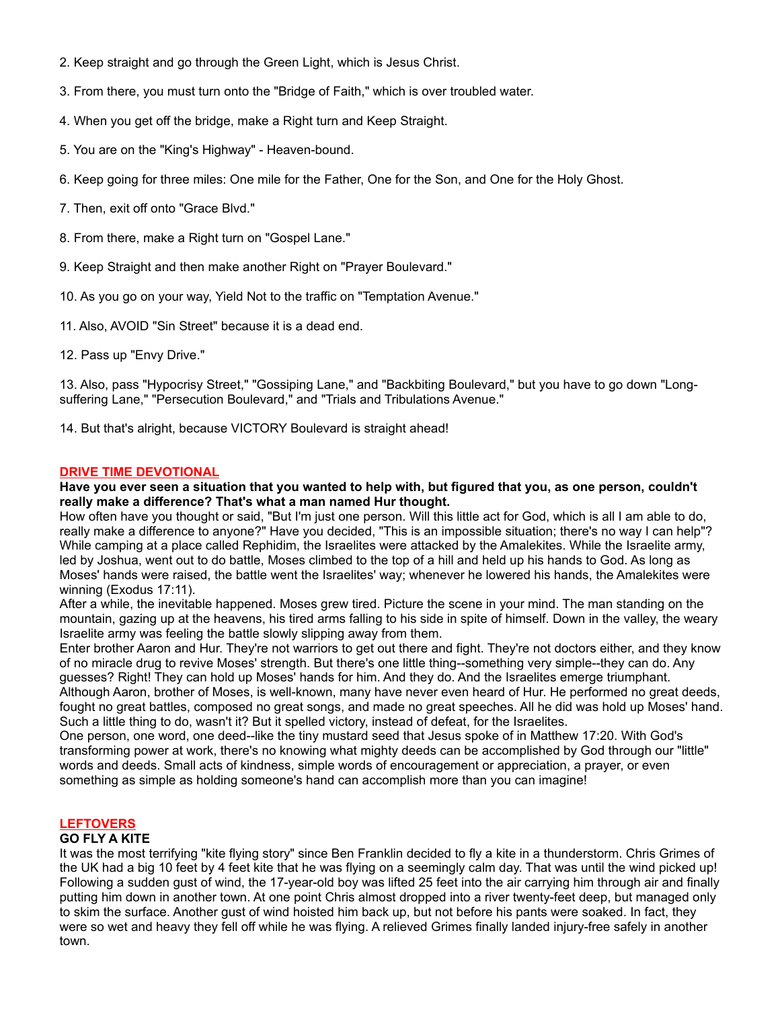- 2. Keep straight and go through the Green Light, which is Jesus Christ.
- 3. From there, you must turn onto the "Bridge of Faith," which is over troubled water.
- 4. When you get off the bridge, make a Right turn and Keep Straight.
- 5. You are on the "King's Highway" Heaven-bound.
- 6. Keep going for three miles: One mile for the Father, One for the Son, and One for the Holy Ghost.
- 7. Then, exit off onto "Grace Blvd."
- 8. From there, make a Right turn on "Gospel Lane."
- 9. Keep Straight and then make another Right on "Prayer Boulevard."
- 10. As you go on your way, Yield Not to the traffic on "Temptation Avenue."
- 11. Also, AVOID "Sin Street" because it is a dead end.
- 12. Pass up "Envy Drive."

13. Also, pass "Hypocrisy Street," "Gossiping Lane," and "Backbiting Boulevard," but you have to go down "Longsuffering Lane," "Persecution Boulevard," and "Trials and Tribulations Avenue."

14. But that's alright, because VICTORY Boulevard is straight ahead!

# **DRIVE TIME DEVOTIONAL**

# **Have you ever seen a situation that you wanted to help with, but figured that you, as one person, couldn't really make a difference? That's what a man named Hur thought.**

How often have you thought or said, "But I'm just one person. Will this little act for God, which is all I am able to do, really make a difference to anyone?" Have you decided, "This is an impossible situation; there's no way I can help"? While camping at a place called Rephidim, the Israelites were attacked by the Amalekites. While the Israelite army, led by Joshua, went out to do battle, Moses climbed to the top of a hill and held up his hands to God. As long as Moses' hands were raised, the battle went the Israelites' way; whenever he lowered his hands, the Amalekites were winning (Exodus 17:11).

After a while, the inevitable happened. Moses grew tired. Picture the scene in your mind. The man standing on the mountain, gazing up at the heavens, his tired arms falling to his side in spite of himself. Down in the valley, the weary Israelite army was feeling the battle slowly slipping away from them.

Enter brother Aaron and Hur. They're not warriors to get out there and fight. They're not doctors either, and they know of no miracle drug to revive Moses' strength. But there's one little thing--something very simple--they can do. Any guesses? Right! They can hold up Moses' hands for him. And they do. And the Israelites emerge triumphant. Although Aaron, brother of Moses, is well-known, many have never even heard of Hur. He performed no great deeds, fought no great battles, composed no great songs, and made no great speeches. All he did was hold up Moses' hand. Such a little thing to do, wasn't it? But it spelled victory, instead of defeat, for the Israelites.

One person, one word, one deed--like the tiny mustard seed that Jesus spoke of in Matthew 17:20. With God's transforming power at work, there's no knowing what mighty deeds can be accomplished by God through our "little" words and deeds. Small acts of kindness, simple words of encouragement or appreciation, a prayer, or even something as simple as holding someone's hand can accomplish more than you can imagine!

# **LEFTOVERS**

# **GO FLY A KITE**

It was the most terrifying "kite flying story" since Ben Franklin decided to fly a kite in a thunderstorm. Chris Grimes of the UK had a big 10 feet by 4 feet kite that he was flying on a seemingly calm day. That was until the wind picked up! Following a sudden gust of wind, the 17-year-old boy was lifted 25 feet into the air carrying him through air and finally putting him down in another town. At one point Chris almost dropped into a river twenty-feet deep, but managed only to skim the surface. Another gust of wind hoisted him back up, but not before his pants were soaked. In fact, they were so wet and heavy they fell off while he was flying. A relieved Grimes finally landed injury-free safely in another town.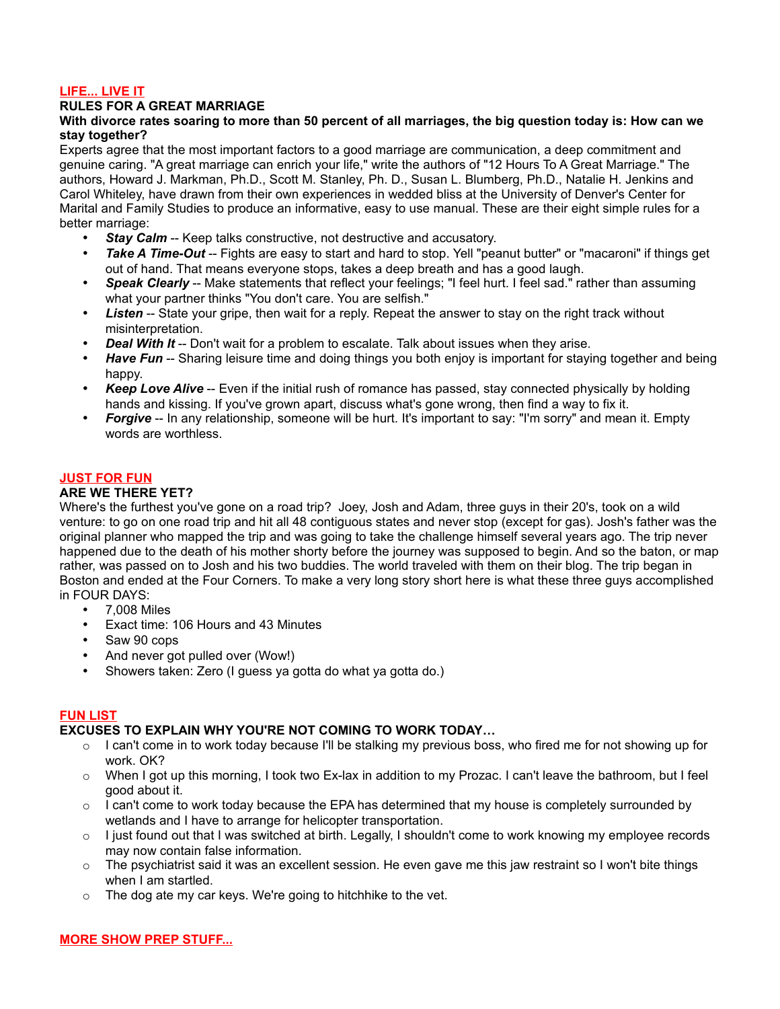# **LIFE... LIVE IT**

# **RULES FOR A GREAT MARRIAGE**

# **With divorce rates soaring to more than 50 percent of all marriages, the big question today is: How can we stay together?**

Experts agree that the most important factors to a good marriage are communication, a deep commitment and genuine caring. "A great marriage can enrich your life," write the authors of "12 Hours To A Great Marriage." The authors, Howard J. Markman, Ph.D., Scott M. Stanley, Ph. D., Susan L. Blumberg, Ph.D., Natalie H. Jenkins and Carol Whiteley, have drawn from their own experiences in wedded bliss at the University of Denver's Center for Marital and Family Studies to produce an informative, easy to use manual. These are their eight simple rules for a better marriage:

- **Stay Calm** -- Keep talks constructive, not destructive and accusatory.
- *Take A Time-Out* -- Fights are easy to start and hard to stop. Yell "peanut butter" or "macaroni" if things get out of hand. That means everyone stops, takes a deep breath and has a good laugh.
- *Speak Clearly* -- Make statements that reflect your feelings; "I feel hurt. I feel sad." rather than assuming what your partner thinks "You don't care. You are selfish."
- *Listen* -- State your gripe, then wait for a reply. Repeat the answer to stay on the right track without misinterpretation.
- *Deal With It* -- Don't wait for a problem to escalate. Talk about issues when they arise.
- *Have Fun* -- Sharing leisure time and doing things you both enjoy is important for staying together and being happy.
- *Keep Love Alive* -- Even if the initial rush of romance has passed, stay connected physically by holding hands and kissing. If you've grown apart, discuss what's gone wrong, then find a way to fix it.
- *Forgive* -- In any relationship, someone will be hurt. It's important to say: "I'm sorry" and mean it. Empty words are worthless.

# **JUST FOR FUN**

# **ARE WE THERE YET?**

Where's the furthest you've gone on a road trip? Joey, Josh and Adam, three guys in their 20's, took on a wild venture: to go on one road trip and hit all 48 contiguous states and never stop (except for gas). Josh's father was the original planner who mapped the trip and was going to take the challenge himself several years ago. The trip never happened due to the death of his mother shorty before the journey was supposed to begin. And so the baton, or map rather, was passed on to Josh and his two buddies. The world traveled with them on their blog. The trip began in Boston and ended at the Four Corners. To make a very long story short here is what these three guys accomplished in FOUR DAYS:

- 7,008 Miles
- Exact time: 106 Hours and 43 Minutes
- Saw 90 cops
- And never got pulled over (Wow!)
- Showers taken: Zero (I guess ya gotta do what ya gotta do.)

# **FUN LIST**

# **EXCUSES TO EXPLAIN WHY YOU'RE NOT COMING TO WORK TODAY…**

- $\circ$  I can't come in to work today because I'll be stalking my previous boss, who fired me for not showing up for work. OK?
- $\circ$  When I got up this morning, I took two Ex-lax in addition to my Prozac. I can't leave the bathroom, but I feel good about it.
- $\circ$  I can't come to work today because the EPA has determined that my house is completely surrounded by wetlands and I have to arrange for helicopter transportation.
- $\circ$  I just found out that I was switched at birth. Legally, I shouldn't come to work knowing my employee records may now contain false information.
- $\circ$  The psychiatrist said it was an excellent session. He even gave me this jaw restraint so I won't bite things when I am startled.
- o The dog ate my car keys. We're going to hitchhike to the vet.

# **MORE SHOW PREP STUFF...**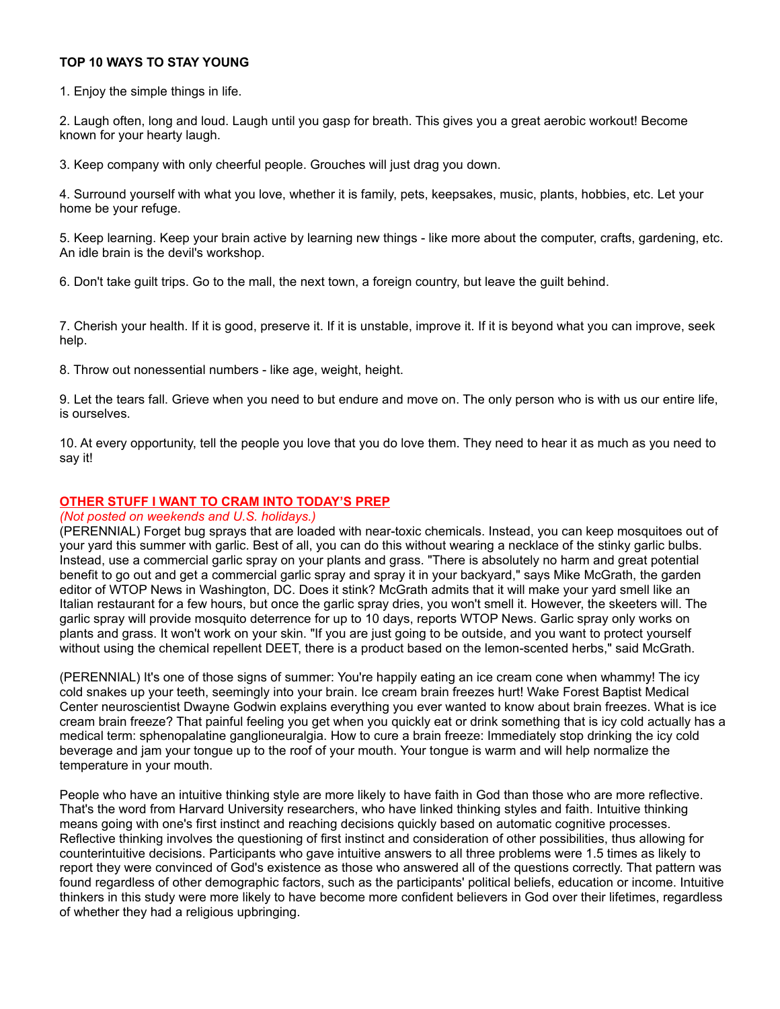# **TOP 10 WAYS TO STAY YOUNG**

1. Enjoy the simple things in life.

2. Laugh often, long and loud. Laugh until you gasp for breath. This gives you a great aerobic workout! Become known for your hearty laugh.

3. Keep company with only cheerful people. Grouches will just drag you down.

4. Surround yourself with what you love, whether it is family, pets, keepsakes, music, plants, hobbies, etc. Let your home be your refuge.

5. Keep learning. Keep your brain active by learning new things - like more about the computer, crafts, gardening, etc. An idle brain is the devil's workshop.

6. Don't take guilt trips. Go to the mall, the next town, a foreign country, but leave the guilt behind.

7. Cherish your health. If it is good, preserve it. If it is unstable, improve it. If it is beyond what you can improve, seek help.

8. Throw out nonessential numbers - like age, weight, height.

9. Let the tears fall. Grieve when you need to but endure and move on. The only person who is with us our entire life, is ourselves.

10. At every opportunity, tell the people you love that you do love them. They need to hear it as much as you need to say it!

### **OTHER STUFF I WANT TO CRAM INTO TODAY'S PREP**

#### *(Not posted on weekends and U.S. holidays.)*

(PERENNIAL) Forget bug sprays that are loaded with near-toxic chemicals. Instead, you can keep mosquitoes out of your yard this summer with garlic. Best of all, you can do this without wearing a necklace of the stinky garlic bulbs. Instead, use a commercial garlic spray on your plants and grass. "There is absolutely no harm and great potential benefit to go out and get a commercial garlic spray and spray it in your backyard," says Mike McGrath, the garden editor of WTOP News in Washington, DC. Does it stink? McGrath admits that it will make your yard smell like an Italian restaurant for a few hours, but once the garlic spray dries, you won't smell it. However, the skeeters will. The garlic spray will provide mosquito deterrence for up to 10 days, reports WTOP News. Garlic spray only works on plants and grass. It won't work on your skin. "If you are just going to be outside, and you want to protect yourself without using the chemical repellent DEET, there is a product based on the lemon-scented herbs," said McGrath.

(PERENNIAL) It's one of those signs of summer: You're happily eating an ice cream cone when whammy! The icy cold snakes up your teeth, seemingly into your brain. Ice cream brain freezes hurt! Wake Forest Baptist Medical Center neuroscientist Dwayne Godwin explains everything you ever wanted to know about brain freezes. What is ice cream brain freeze? That painful feeling you get when you quickly eat or drink something that is icy cold actually has a medical term: sphenopalatine ganglioneuralgia. How to cure a brain freeze: Immediately stop drinking the icy cold beverage and jam your tongue up to the roof of your mouth. Your tongue is warm and will help normalize the temperature in your mouth.

People who have an intuitive thinking style are more likely to have faith in God than those who are more reflective. That's the word from Harvard University researchers, who have linked thinking styles and faith. Intuitive thinking means going with one's first instinct and reaching decisions quickly based on automatic cognitive processes. Reflective thinking involves the questioning of first instinct and consideration of other possibilities, thus allowing for counterintuitive decisions. Participants who gave intuitive answers to all three problems were 1.5 times as likely to report they were convinced of God's existence as those who answered all of the questions correctly. That pattern was found regardless of other demographic factors, such as the participants' political beliefs, education or income. Intuitive thinkers in this study were more likely to have become more confident believers in God over their lifetimes, regardless of whether they had a religious upbringing.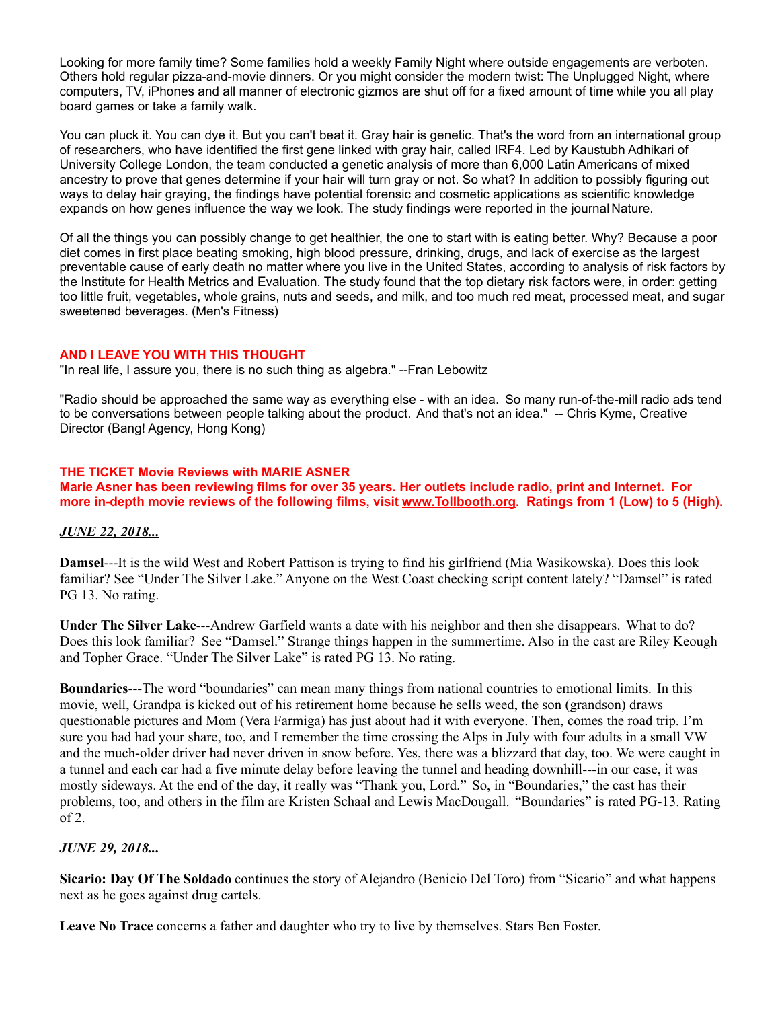Looking for more family time? Some families hold a weekly Family Night where outside engagements are verboten. Others hold regular pizza-and-movie dinners. Or you might consider the modern twist: The Unplugged Night, where computers, TV, iPhones and all manner of electronic gizmos are shut off for a fixed amount of time while you all play board games or take a family walk.

You can pluck it. You can dye it. But you can't beat it. Gray hair is genetic. That's the word from an international group of researchers, who have identified the first gene linked with gray hair, called IRF4. Led by Kaustubh Adhikari of University College London, the team conducted a genetic analysis of more than 6,000 Latin Americans of mixed ancestry to prove that genes determine if your hair will turn gray or not. So what? In addition to possibly figuring out ways to delay hair graying, the findings have potential forensic and cosmetic applications as scientific knowledge expands on how genes influence the way we look. The study findings were reported in the journal Nature.

Of all the things you can possibly change to get healthier, the one to start with is eating better. Why? Because a poor diet comes in first place beating smoking, high blood pressure, drinking, drugs, and lack of exercise as the largest preventable cause of early death no matter where you live in the United States, according to analysis of risk factors by the Institute for Health Metrics and Evaluation. The study found that the top dietary risk factors were, in order: getting too little fruit, vegetables, whole grains, nuts and seeds, and milk, and too much red meat, processed meat, and sugar sweetened beverages. (Men's Fitness)

# **AND I LEAVE YOU WITH THIS THOUGHT**

"In real life, I assure you, there is no such thing as algebra." --Fran Lebowitz

"Radio should be approached the same way as everything else - with an idea. So many run-of-the-mill radio ads tend to be conversations between people talking about the product. And that's not an idea." -- Chris Kyme, Creative Director (Bang! Agency, Hong Kong)

# **THE TICKET Movie Reviews with MARIE ASNER**

**Marie Asner has been reviewing films for over 35 years. Her outlets include radio, print and Internet. For more in-depth movie reviews of the following films, visit [www.Tollbooth.org.](http://www.tollbooth.org/index.php/home/movie-reviews) Ratings from 1 (Low) to 5 (High).**

# *JUNE 22, 2018...*

**Damsel**---It is the wild West and Robert Pattison is trying to find his girlfriend (Mia Wasikowska). Does this look familiar? See "Under The Silver Lake." Anyone on the West Coast checking script content lately? "Damsel" is rated PG 13. No rating.

**Under The Silver Lake**---Andrew Garfield wants a date with his neighbor and then she disappears. What to do? Does this look familiar? See "Damsel." Strange things happen in the summertime. Also in the cast are Riley Keough and Topher Grace. "Under The Silver Lake" is rated PG 13. No rating.

**Boundaries**---The word "boundaries" can mean many things from national countries to emotional limits. In this movie, well, Grandpa is kicked out of his retirement home because he sells weed, the son (grandson) draws questionable pictures and Mom (Vera Farmiga) has just about had it with everyone. Then, comes the road trip. I'm sure you had had your share, too, and I remember the time crossing the Alps in July with four adults in a small VW and the much-older driver had never driven in snow before. Yes, there was a blizzard that day, too. We were caught in a tunnel and each car had a five minute delay before leaving the tunnel and heading downhill---in our case, it was mostly sideways. At the end of the day, it really was "Thank you, Lord." So, in "Boundaries," the cast has their problems, too, and others in the film are Kristen Schaal and Lewis MacDougall. "Boundaries" is rated PG-13. Rating  $of 2.$ 

# *JUNE 29, 2018...*

**Sicario: Day Of The Soldado** continues the story of Alejandro (Benicio Del Toro) from "Sicario" and what happens next as he goes against drug cartels.

**Leave No Trace** concerns a father and daughter who try to live by themselves. Stars Ben Foster.